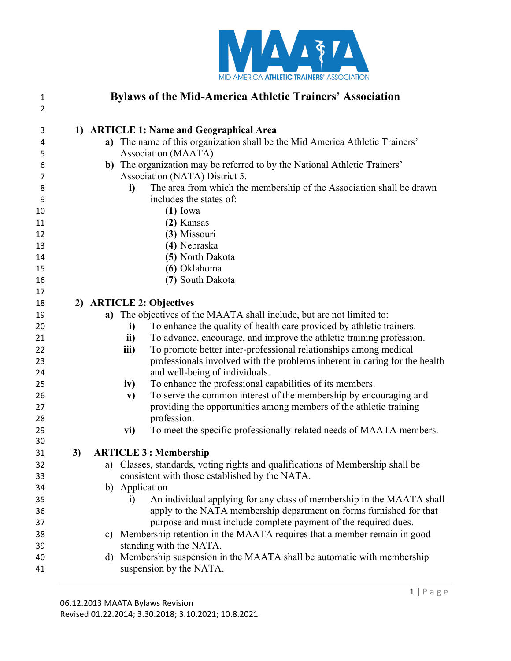

| $\mathbf{1}$   |    |    | <b>Bylaws of the Mid-America Athletic Trainers' Association</b>                            |
|----------------|----|----|--------------------------------------------------------------------------------------------|
| $\overline{2}$ |    |    |                                                                                            |
| 3              |    |    | 1) ARTICLE 1: Name and Geographical Area                                                   |
| 4              |    |    | a) The name of this organization shall be the Mid America Athletic Trainers'               |
| 5              |    |    | Association (MAATA)                                                                        |
| 6              |    |    | b) The organization may be referred to by the National Athletic Trainers'                  |
| 7              |    |    | Association (NATA) District 5.                                                             |
| 8              |    |    | The area from which the membership of the Association shall be drawn<br>i)                 |
| 9              |    |    | includes the states of:                                                                    |
| 10             |    |    | $(1)$ Iowa                                                                                 |
| 11             |    |    | (2) Kansas                                                                                 |
| 12             |    |    | (3) Missouri                                                                               |
| 13             |    |    | (4) Nebraska                                                                               |
| 14             |    |    | (5) North Dakota                                                                           |
| 15             |    |    | (6) Oklahoma                                                                               |
| 16             |    |    | (7) South Dakota                                                                           |
| 17             |    |    |                                                                                            |
| 18             |    |    | 2) ARTICLE 2: Objectives                                                                   |
| 19             |    |    | a) The objectives of the MAATA shall include, but are not limited to:                      |
| 20             |    |    | To enhance the quality of health care provided by athletic trainers.<br>i)                 |
| 21             |    |    | To advance, encourage, and improve the athletic training profession.<br>ii)                |
| 22             |    |    | To promote better inter-professional relationships among medical<br>iii)                   |
| 23             |    |    | professionals involved with the problems inherent in caring for the health                 |
| 24             |    |    | and well-being of individuals.                                                             |
| 25             |    |    | To enhance the professional capabilities of its members.<br>iv)                            |
| 26             |    |    | To serve the common interest of the membership by encouraging and<br>$\mathbf{v})$         |
| 27             |    |    | providing the opportunities among members of the athletic training                         |
| 28             |    |    | profession.                                                                                |
| 29             |    |    | To meet the specific professionally-related needs of MAATA members.<br>vi)                 |
| 30             |    |    |                                                                                            |
| 31             | 3) |    | <b>ARTICLE 3: Membership</b>                                                               |
| 32             |    |    | a) Classes, standards, voting rights and qualifications of Membership shall be             |
| 33             |    |    | consistent with those established by the NATA.                                             |
| 34             |    |    | b) Application                                                                             |
| 35             |    |    | An individual applying for any class of membership in the MAATA shall<br>$\left( i\right)$ |
| 36             |    |    | apply to the NATA membership department on forms furnished for that                        |
| 37             |    |    | purpose and must include complete payment of the required dues.                            |
| 38             |    |    | c) Membership retention in the MAATA requires that a member remain in good                 |
| 39             |    |    | standing with the NATA.                                                                    |
| 40             |    | d) | Membership suspension in the MAATA shall be automatic with membership                      |
| 41             |    |    | suspension by the NATA.                                                                    |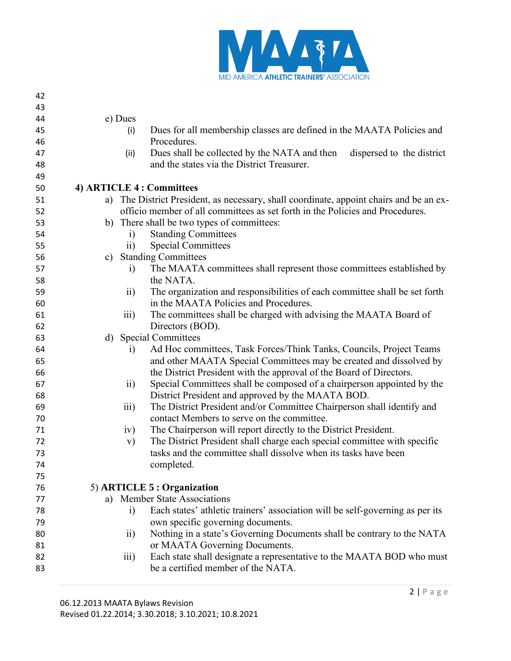

| 42 |               |                         |                                                                                         |
|----|---------------|-------------------------|-----------------------------------------------------------------------------------------|
| 43 |               |                         |                                                                                         |
| 44 |               | e) Dues                 |                                                                                         |
| 45 |               | (i)                     | Dues for all membership classes are defined in the MAATA Policies and                   |
| 46 |               |                         | Procedures.                                                                             |
| 47 |               | (ii)                    | Dues shall be collected by the NATA and then<br>dispersed to the district               |
| 48 |               |                         | and the states via the District Treasurer.                                              |
| 49 |               |                         |                                                                                         |
| 50 |               |                         | 4) ARTICLE 4 : Committees                                                               |
| 51 |               |                         | a) The District President, as necessary, shall coordinate, appoint chairs and be an ex- |
| 52 |               |                         | officio member of all committees as set forth in the Policies and Procedures.           |
| 53 |               |                         | b) There shall be two types of committees:                                              |
| 54 |               | $\ddot{1}$              | <b>Standing Committees</b>                                                              |
| 55 |               | $\overline{11})$        | <b>Special Committees</b>                                                               |
| 56 | $\mathbf{c})$ |                         | <b>Standing Committees</b>                                                              |
| 57 |               | $\ddot{i}$              | The MAATA committees shall represent those committees established by                    |
| 58 |               |                         | the NATA.                                                                               |
| 59 |               | $\overline{11}$         | The organization and responsibilities of each committee shall be set forth              |
| 60 |               |                         | in the MAATA Policies and Procedures.                                                   |
| 61 |               | $\overline{111}$        | The committees shall be charged with advising the MAATA Board of                        |
| 62 |               |                         | Directors (BOD).                                                                        |
| 63 | d)            |                         | <b>Special Committees</b>                                                               |
| 64 |               | $\ddot{1}$              | Ad Hoc committees, Task Forces/Think Tanks, Councils, Project Teams                     |
| 65 |               |                         | and other MAATA Special Committees may be created and dissolved by                      |
| 66 |               |                         | the District President with the approval of the Board of Directors.                     |
| 67 |               | $\overline{11}$         | Special Committees shall be composed of a chairperson appointed by the                  |
| 68 |               |                         | District President and approved by the MAATA BOD.                                       |
| 69 |               | $\overline{\text{iii}}$ | The District President and/or Committee Chairperson shall identify and                  |
| 70 |               |                         | contact Members to serve on the committee.                                              |
| 71 |               | iv)                     | The Chairperson will report directly to the District President.                         |
| 72 |               | V)                      | The District President shall charge each special committee with specific                |
| 73 |               |                         | tasks and the committee shall dissolve when its tasks have been                         |
| 74 |               |                         | completed.                                                                              |
| 75 |               |                         |                                                                                         |
| 76 |               |                         | 5) ARTICLE 5 : Organization                                                             |
| 77 |               |                         | a) Member State Associations                                                            |
| 78 |               | $\ddot{1}$              | Each states' athletic trainers' association will be self-governing as per its           |
| 79 |               |                         | own specific governing documents.                                                       |
| 80 |               | $\rm ii)$               | Nothing in a state's Governing Documents shall be contrary to the NATA                  |
| 81 |               |                         | or MAATA Governing Documents.                                                           |
| 82 |               | $\overline{\text{iii}}$ | Each state shall designate a representative to the MAATA BOD who must                   |
| 83 |               |                         | be a certified member of the NATA.                                                      |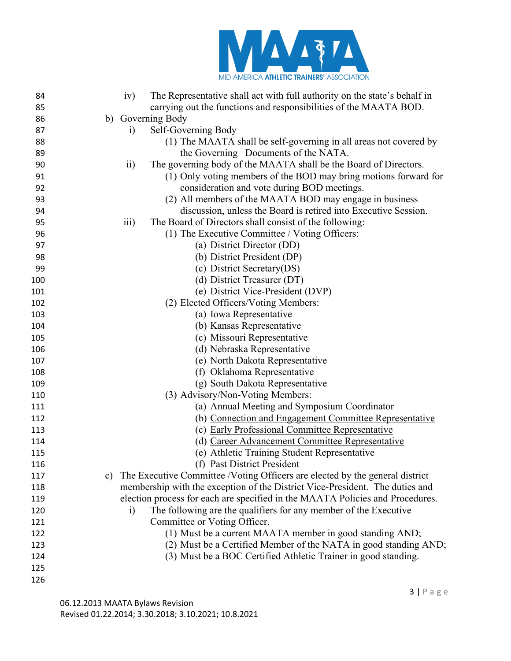

| 84  | The Representative shall act with full authority on the state's behalf in<br>iv)    |
|-----|-------------------------------------------------------------------------------------|
| 85  | carrying out the functions and responsibilities of the MAATA BOD.                   |
| 86  | b) Governing Body                                                                   |
| 87  | Self-Governing Body<br>$\rm i)$                                                     |
| 88  | (1) The MAATA shall be self-governing in all areas not covered by                   |
| 89  | the Governing Documents of the NATA.                                                |
| 90  | $\overline{11}$<br>The governing body of the MAATA shall be the Board of Directors. |
| 91  | (1) Only voting members of the BOD may bring motions forward for                    |
| 92  | consideration and vote during BOD meetings.                                         |
| 93  | (2) All members of the MAATA BOD may engage in business                             |
| 94  | discussion, unless the Board is retired into Executive Session.                     |
| 95  | $\overline{111}$<br>The Board of Directors shall consist of the following:          |
| 96  | (1) The Executive Committee / Voting Officers:                                      |
| 97  | (a) District Director (DD)                                                          |
| 98  | (b) District President (DP)                                                         |
| 99  | (c) District Secretary(DS)                                                          |
| 100 | (d) District Treasurer (DT)                                                         |
| 101 | (e) District Vice-President (DVP)                                                   |
| 102 | (2) Elected Officers/Voting Members:                                                |
| 103 | (a) Iowa Representative                                                             |
| 104 | (b) Kansas Representative                                                           |
| 105 | (c) Missouri Representative                                                         |
| 106 | (d) Nebraska Representative                                                         |
| 107 | (e) North Dakota Representative                                                     |
| 108 | (f) Oklahoma Representative                                                         |
| 109 | (g) South Dakota Representative                                                     |
| 110 | (3) Advisory/Non-Voting Members:                                                    |
| 111 | (a) Annual Meeting and Symposium Coordinator                                        |
| 112 | (b) Connection and Engagement Committee Representative                              |
| 113 | (c) Early Professional Committee Representative                                     |
| 114 | (d) Career Advancement Committee Representative                                     |
| 115 | (e) Athletic Training Student Representative                                        |
| 116 | (f) Past District President                                                         |
| 117 | The Executive Committee /Voting Officers are elected by the general district<br>c)  |
| 118 | membership with the exception of the District Vice-President. The duties and        |
| 119 | election process for each are specified in the MAATA Policies and Procedures.       |
| 120 | The following are the qualifiers for any member of the Executive<br>$\ddot{a}$      |
| 121 | Committee or Voting Officer.                                                        |
| 122 | (1) Must be a current MAATA member in good standing AND;                            |
| 123 | (2) Must be a Certified Member of the NATA in good standing AND;                    |
| 124 | (3) Must be a BOC Certified Athletic Trainer in good standing.                      |
| 125 |                                                                                     |
| 126 |                                                                                     |
|     |                                                                                     |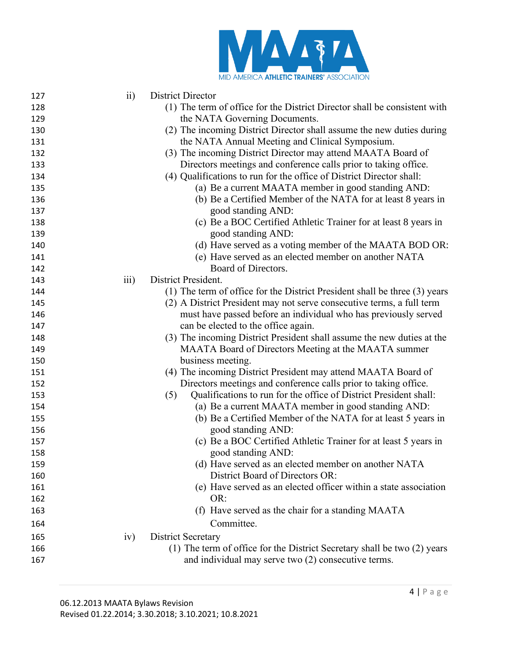

| 127 | $\overline{ii}$ | District Director                                                          |
|-----|-----------------|----------------------------------------------------------------------------|
| 128 |                 | (1) The term of office for the District Director shall be consistent with  |
| 129 |                 | the NATA Governing Documents.                                              |
| 130 |                 | (2) The incoming District Director shall assume the new duties during      |
| 131 |                 | the NATA Annual Meeting and Clinical Symposium.                            |
| 132 |                 | (3) The incoming District Director may attend MAATA Board of               |
| 133 |                 | Directors meetings and conference calls prior to taking office.            |
| 134 |                 | (4) Qualifications to run for the office of District Director shall:       |
| 135 |                 | (a) Be a current MAATA member in good standing AND:                        |
| 136 |                 | (b) Be a Certified Member of the NATA for at least 8 years in              |
| 137 |                 | good standing AND:                                                         |
| 138 |                 | (c) Be a BOC Certified Athletic Trainer for at least 8 years in            |
| 139 |                 | good standing AND:                                                         |
| 140 |                 | (d) Have served as a voting member of the MAATA BOD OR:                    |
| 141 |                 | (e) Have served as an elected member on another NATA                       |
| 142 |                 | Board of Directors.                                                        |
| 143 | iii)            | District President.                                                        |
| 144 |                 | (1) The term of office for the District President shall be three (3) years |
| 145 |                 | (2) A District President may not serve consecutive terms, a full term      |
| 146 |                 | must have passed before an individual who has previously served            |
| 147 |                 | can be elected to the office again.                                        |
| 148 |                 | (3) The incoming District President shall assume the new duties at the     |
| 149 |                 | MAATA Board of Directors Meeting at the MAATA summer                       |
| 150 |                 | business meeting.                                                          |
| 151 |                 | (4) The incoming District President may attend MAATA Board of              |
| 152 |                 | Directors meetings and conference calls prior to taking office.            |
| 153 |                 | Qualifications to run for the office of District President shall:<br>(5)   |
| 154 |                 | (a) Be a current MAATA member in good standing AND:                        |
| 155 |                 | (b) Be a Certified Member of the NATA for at least 5 years in              |
| 156 |                 | good standing AND:                                                         |
| 157 |                 | (c) Be a BOC Certified Athletic Trainer for at least 5 years in            |
| 158 |                 | good standing AND:                                                         |
| 159 |                 | (d) Have served as an elected member on another NATA                       |
| 160 |                 | District Board of Directors OR:                                            |
| 161 |                 | (e) Have served as an elected officer within a state association           |
| 162 |                 | OR:                                                                        |
| 163 |                 | (f) Have served as the chair for a standing MAATA                          |
| 164 |                 | Committee.                                                                 |
| 165 | iv)             | <b>District Secretary</b>                                                  |
| 166 |                 | (1) The term of office for the District Secretary shall be two (2) years   |
| 167 |                 | and individual may serve two (2) consecutive terms.                        |
|     |                 |                                                                            |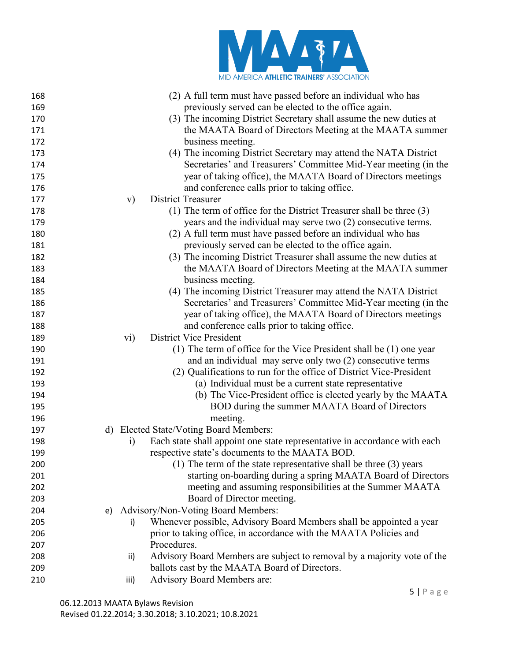

| 168 | (2) A full term must have passed before an individual who has                           |
|-----|-----------------------------------------------------------------------------------------|
| 169 | previously served can be elected to the office again.                                   |
| 170 | (3) The incoming District Secretary shall assume the new duties at                      |
| 171 | the MAATA Board of Directors Meeting at the MAATA summer                                |
| 172 | business meeting.                                                                       |
| 173 | (4) The incoming District Secretary may attend the NATA District                        |
| 174 | Secretaries' and Treasurers' Committee Mid-Year meeting (in the                         |
| 175 | year of taking office), the MAATA Board of Directors meetings                           |
| 176 | and conference calls prior to taking office.                                            |
| 177 | <b>District Treasurer</b><br>$\mathbf{v})$                                              |
| 178 | (1) The term of office for the District Treasurer shall be three $(3)$                  |
| 179 | years and the individual may serve two (2) consecutive terms.                           |
| 180 | (2) A full term must have passed before an individual who has                           |
| 181 | previously served can be elected to the office again.                                   |
| 182 | (3) The incoming District Treasurer shall assume the new duties at                      |
| 183 | the MAATA Board of Directors Meeting at the MAATA summer                                |
| 184 | business meeting.                                                                       |
| 185 | (4) The incoming District Treasurer may attend the NATA District                        |
| 186 | Secretaries' and Treasurers' Committee Mid-Year meeting (in the                         |
| 187 | year of taking office), the MAATA Board of Directors meetings                           |
| 188 | and conference calls prior to taking office.                                            |
| 189 | $\rm vi)$<br><b>District Vice President</b>                                             |
| 190 | (1) The term of office for the Vice President shall be (1) one year                     |
| 191 | and an individual may serve only two (2) consecutive terms                              |
| 192 | (2) Qualifications to run for the office of District Vice-President                     |
| 193 | (a) Individual must be a current state representative                                   |
| 194 | (b) The Vice-President office is elected yearly by the MAATA                            |
| 195 | BOD during the summer MAATA Board of Directors                                          |
| 196 | meeting.                                                                                |
| 197 | d) Elected State/Voting Board Members:                                                  |
| 198 | Each state shall appoint one state representative in accordance with each<br>$\ddot{1}$ |
| 199 | respective state's documents to the MAATA BOD.                                          |
| 200 | (1) The term of the state representative shall be three (3) years                       |
| 201 | starting on-boarding during a spring MAATA Board of Directors                           |
| 202 | meeting and assuming responsibilities at the Summer MAATA                               |
| 203 | Board of Director meeting.                                                              |
| 204 | Advisory/Non-Voting Board Members:<br>e)                                                |
| 205 | Whenever possible, Advisory Board Members shall be appointed a year<br>i)               |
| 206 | prior to taking office, in accordance with the MAATA Policies and                       |
| 207 | Procedures.                                                                             |
| 208 | Advisory Board Members are subject to removal by a majority vote of the<br>ii)          |
| 209 | ballots cast by the MAATA Board of Directors.                                           |
| 210 | <b>Advisory Board Members are:</b><br>iii)                                              |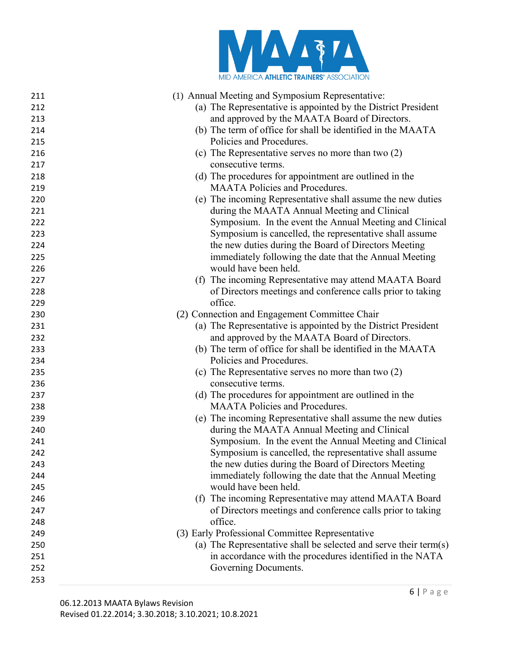

| 211 | (1) Annual Meeting and Symposium Representative:                 |
|-----|------------------------------------------------------------------|
| 212 | (a) The Representative is appointed by the District President    |
| 213 | and approved by the MAATA Board of Directors.                    |
| 214 | (b) The term of office for shall be identified in the MAATA      |
| 215 | Policies and Procedures.                                         |
| 216 | (c) The Representative serves no more than two (2)               |
| 217 | consecutive terms.                                               |
| 218 | (d) The procedures for appointment are outlined in the           |
| 219 | <b>MAATA Policies and Procedures.</b>                            |
| 220 | (e) The incoming Representative shall assume the new duties      |
| 221 | during the MAATA Annual Meeting and Clinical                     |
| 222 | Symposium. In the event the Annual Meeting and Clinical          |
| 223 | Symposium is cancelled, the representative shall assume          |
| 224 | the new duties during the Board of Directors Meeting             |
| 225 | immediately following the date that the Annual Meeting           |
| 226 | would have been held.                                            |
| 227 | (f) The incoming Representative may attend MAATA Board           |
| 228 | of Directors meetings and conference calls prior to taking       |
| 229 | office.                                                          |
| 230 | (2) Connection and Engagement Committee Chair                    |
| 231 | (a) The Representative is appointed by the District President    |
| 232 | and approved by the MAATA Board of Directors.                    |
| 233 | (b) The term of office for shall be identified in the MAATA      |
| 234 | Policies and Procedures.                                         |
| 235 | (c) The Representative serves no more than two $(2)$             |
| 236 | consecutive terms.                                               |
| 237 | (d) The procedures for appointment are outlined in the           |
| 238 | <b>MAATA Policies and Procedures.</b>                            |
| 239 | (e) The incoming Representative shall assume the new duties      |
| 240 | during the MAATA Annual Meeting and Clinical                     |
| 241 | Symposium. In the event the Annual Meeting and Clinical          |
| 242 | Symposium is cancelled, the representative shall assume          |
| 243 | the new duties during the Board of Directors Meeting             |
| 244 | immediately following the date that the Annual Meeting           |
| 245 | would have been held.                                            |
| 246 | (f) The incoming Representative may attend MAATA Board           |
| 247 | of Directors meetings and conference calls prior to taking       |
| 248 | office.                                                          |
| 249 | (3) Early Professional Committee Representative                  |
| 250 | (a) The Representative shall be selected and serve their term(s) |
| 251 | in accordance with the procedures identified in the NATA         |
| 252 | Governing Documents.                                             |
| 253 |                                                                  |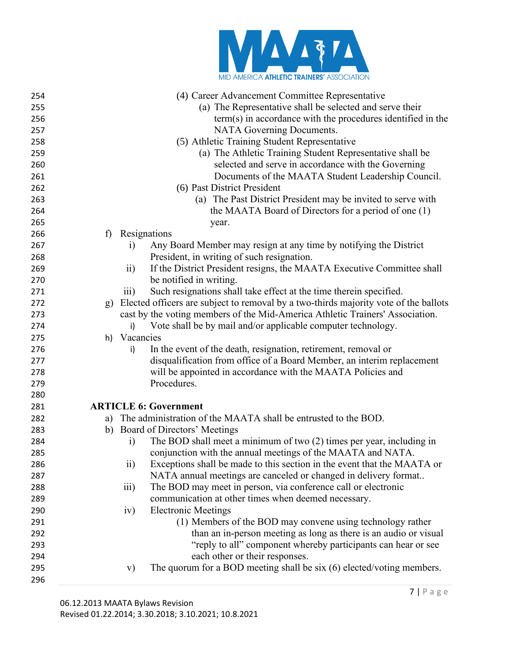

| 254<br>255 | (4) Career Advancement Committee Representative<br>(a) The Representative shall be selected and serve their |  |
|------------|-------------------------------------------------------------------------------------------------------------|--|
| 256        | term(s) in accordance with the procedures identified in the                                                 |  |
| 257        | NATA Governing Documents.                                                                                   |  |
|            |                                                                                                             |  |
| 258        | (5) Athletic Training Student Representative                                                                |  |
| 259        | (a) The Athletic Training Student Representative shall be                                                   |  |
| 260        | selected and serve in accordance with the Governing                                                         |  |
| 261        | Documents of the MAATA Student Leadership Council.                                                          |  |
| 262        | (6) Past District President                                                                                 |  |
| 263        | (a) The Past District President may be invited to serve with                                                |  |
| 264        | the MAATA Board of Directors for a period of one (1)                                                        |  |
| 265        | year.                                                                                                       |  |
| 266        | Resignations<br>f)                                                                                          |  |
| 267        | Any Board Member may resign at any time by notifying the District<br>$\ddot{1}$                             |  |
| 268        | President, in writing of such resignation.                                                                  |  |
| 269        | If the District President resigns, the MAATA Executive Committee shall<br>$\overline{11}$                   |  |
| 270        | be notified in writing.                                                                                     |  |
| 271        | Such resignations shall take effect at the time therein specified.<br>$\overline{\text{iii}}$               |  |
| 272        | Elected officers are subject to removal by a two-thirds majority vote of the ballots<br>g)                  |  |
| 273        | cast by the voting members of the Mid-America Athletic Trainers' Association.                               |  |
| 274        | Vote shall be by mail and/or applicable computer technology.<br>i)                                          |  |
| 275        | h) Vacancies                                                                                                |  |
| 276        | In the event of the death, resignation, retirement, removal or<br>i)                                        |  |
| 277        | disqualification from office of a Board Member, an interim replacement                                      |  |
| 278        | will be appointed in accordance with the MAATA Policies and                                                 |  |
| 279        | Procedures.                                                                                                 |  |
| 280        |                                                                                                             |  |
| 281        | <b>ARTICLE 6: Government</b>                                                                                |  |
| 282        | The administration of the MAATA shall be entrusted to the BOD.<br>a)                                        |  |
| 283        | b) Board of Directors' Meetings                                                                             |  |
| 284        | The BOD shall meet a minimum of two (2) times per year, including in<br>$\ddot{a}$                          |  |
| 285        | conjunction with the annual meetings of the MAATA and NATA.                                                 |  |
| 286        | $\mathbf{ii}$<br>Exceptions shall be made to this section in the event that the MAATA or                    |  |
| 287        | NATA annual meetings are canceled or changed in delivery format                                             |  |
| 288        | $\overline{\text{iii}}$<br>The BOD may meet in person, via conference call or electronic                    |  |
| 289        | communication at other times when deemed necessary.                                                         |  |
| 290        | <b>Electronic Meetings</b><br>iv)                                                                           |  |
| 291        | (1) Members of the BOD may convene using technology rather                                                  |  |
| 292        | than an in-person meeting as long as there is an audio or visual                                            |  |
| 293        | "reply to all" component whereby participants can hear or see                                               |  |
| 294        | each other or their responses.                                                                              |  |
| 295        | The quorum for a BOD meeting shall be six (6) elected/voting members.<br>V)                                 |  |
| 296        |                                                                                                             |  |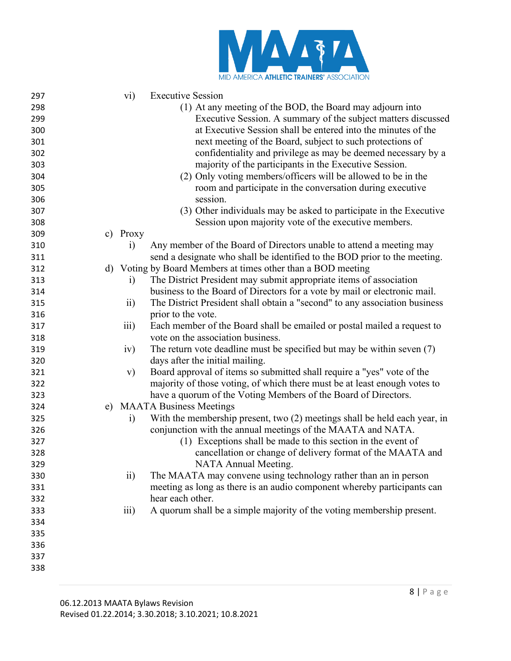

| 297 | $\rm vi)$        | <b>Executive Session</b>                                                    |
|-----|------------------|-----------------------------------------------------------------------------|
| 298 |                  | (1) At any meeting of the BOD, the Board may adjourn into                   |
| 299 |                  | Executive Session. A summary of the subject matters discussed               |
| 300 |                  | at Executive Session shall be entered into the minutes of the               |
| 301 |                  | next meeting of the Board, subject to such protections of                   |
| 302 |                  | confidentiality and privilege as may be deemed necessary by a               |
| 303 |                  | majority of the participants in the Executive Session.                      |
| 304 |                  | (2) Only voting members/officers will be allowed to be in the               |
| 305 |                  | room and participate in the conversation during executive                   |
| 306 |                  | session.                                                                    |
| 307 |                  | (3) Other individuals may be asked to participate in the Executive          |
| 308 |                  | Session upon majority vote of the executive members.                        |
| 309 | c) Proxy         |                                                                             |
| 310 | $\rm i)$         | Any member of the Board of Directors unable to attend a meeting may         |
| 311 |                  | send a designate who shall be identified to the BOD prior to the meeting.   |
| 312 |                  | d) Voting by Board Members at times other than a BOD meeting                |
| 313 | $\rm i)$         | The District President may submit appropriate items of association          |
| 314 |                  | business to the Board of Directors for a vote by mail or electronic mail.   |
| 315 | $\overline{11}$  | The District President shall obtain a "second" to any association business  |
| 316 |                  | prior to the vote.                                                          |
| 317 | $\overline{111}$ | Each member of the Board shall be emailed or postal mailed a request to     |
| 318 |                  | vote on the association business.                                           |
| 319 | iv)              | The return vote deadline must be specified but may be within seven $(7)$    |
| 320 |                  | days after the initial mailing.                                             |
| 321 | V)               | Board approval of items so submitted shall require a "yes" vote of the      |
| 322 |                  | majority of those voting, of which there must be at least enough votes to   |
| 323 |                  | have a quorum of the Voting Members of the Board of Directors.              |
| 324 |                  | e) MAATA Business Meetings                                                  |
| 325 | $\ddot{1}$       | With the membership present, two $(2)$ meetings shall be held each year, in |
| 326 |                  | conjunction with the annual meetings of the MAATA and NATA.                 |
| 327 |                  | (1) Exceptions shall be made to this section in the event of                |
| 328 |                  | cancellation or change of delivery format of the MAATA and                  |
| 329 |                  | NATA Annual Meeting.                                                        |
| 330 | $\overline{11}$  | The MAATA may convene using technology rather than an in person             |
| 331 |                  | meeting as long as there is an audio component whereby participants can     |
| 332 |                  | hear each other.                                                            |
| 333 | $\overline{111}$ | A quorum shall be a simple majority of the voting membership present.       |
| 334 |                  |                                                                             |
| 335 |                  |                                                                             |
| 336 |                  |                                                                             |
| 337 |                  |                                                                             |
| 338 |                  |                                                                             |
|     |                  |                                                                             |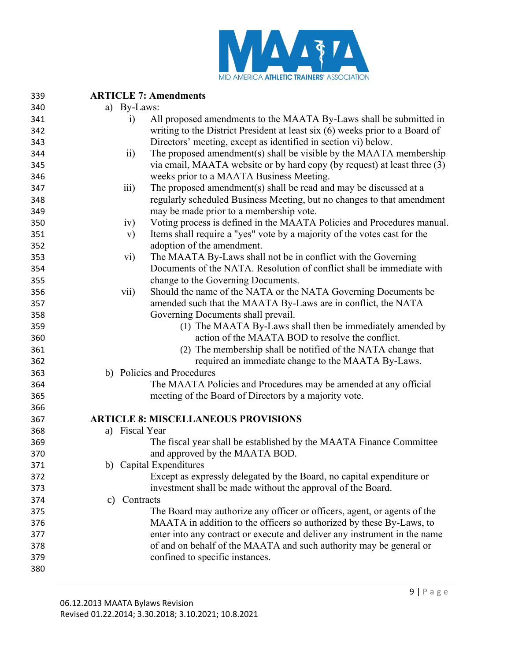

| 339 |                  | <b>ARTICLE 7: Amendments</b>                                                 |
|-----|------------------|------------------------------------------------------------------------------|
| 340 | a) By-Laws:      |                                                                              |
| 341 | $\ddot{1}$       | All proposed amendments to the MAATA By-Laws shall be submitted in           |
| 342 |                  | writing to the District President at least six (6) weeks prior to a Board of |
| 343 |                  | Directors' meeting, except as identified in section vi) below.               |
| 344 | $\overline{ii}$  | The proposed amendment(s) shall be visible by the MAATA membership           |
| 345 |                  | via email, MAATA website or by hard copy (by request) at least three (3)     |
| 346 |                  | weeks prior to a MAATA Business Meeting.                                     |
| 347 | $\overline{111}$ | The proposed amendment(s) shall be read and may be discussed at a            |
| 348 |                  | regularly scheduled Business Meeting, but no changes to that amendment       |
| 349 |                  | may be made prior to a membership vote.                                      |
| 350 | iv)              | Voting process is defined in the MAATA Policies and Procedures manual.       |
| 351 | $\mathbf{v})$    | Items shall require a "yes" vote by a majority of the votes cast for the     |
| 352 |                  | adoption of the amendment.                                                   |
| 353 | vi)              | The MAATA By-Laws shall not be in conflict with the Governing                |
| 354 |                  | Documents of the NATA. Resolution of conflict shall be immediate with        |
| 355 |                  | change to the Governing Documents.                                           |
| 356 | vii)             | Should the name of the NATA or the NATA Governing Documents be               |
| 357 |                  | amended such that the MAATA By-Laws are in conflict, the NATA                |
| 358 |                  | Governing Documents shall prevail.                                           |
| 359 |                  | (1) The MAATA By-Laws shall then be immediately amended by                   |
| 360 |                  | action of the MAATA BOD to resolve the conflict.                             |
| 361 |                  | (2) The membership shall be notified of the NATA change that                 |
| 362 |                  | required an immediate change to the MAATA By-Laws.                           |
| 363 |                  | b) Policies and Procedures                                                   |
| 364 |                  | The MAATA Policies and Procedures may be amended at any official             |
| 365 |                  | meeting of the Board of Directors by a majority vote.                        |
| 366 |                  |                                                                              |
| 367 |                  | <b>ARTICLE 8: MISCELLANEOUS PROVISIONS</b>                                   |
| 368 | a) Fiscal Year   |                                                                              |
| 369 |                  | The fiscal year shall be established by the MAATA Finance Committee          |
| 370 |                  | and approved by the MAATA BOD.                                               |
| 371 |                  | b) Capital Expenditures                                                      |
| 372 |                  | Except as expressly delegated by the Board, no capital expenditure or        |
| 373 |                  | investment shall be made without the approval of the Board.                  |
| 374 | c) Contracts     |                                                                              |
| 375 |                  | The Board may authorize any officer or officers, agent, or agents of the     |
| 376 |                  | MAATA in addition to the officers so authorized by these By-Laws, to         |
| 377 |                  | enter into any contract or execute and deliver any instrument in the name    |
| 378 |                  | of and on behalf of the MAATA and such authority may be general or           |
| 379 |                  | confined to specific instances.                                              |
| 380 |                  |                                                                              |